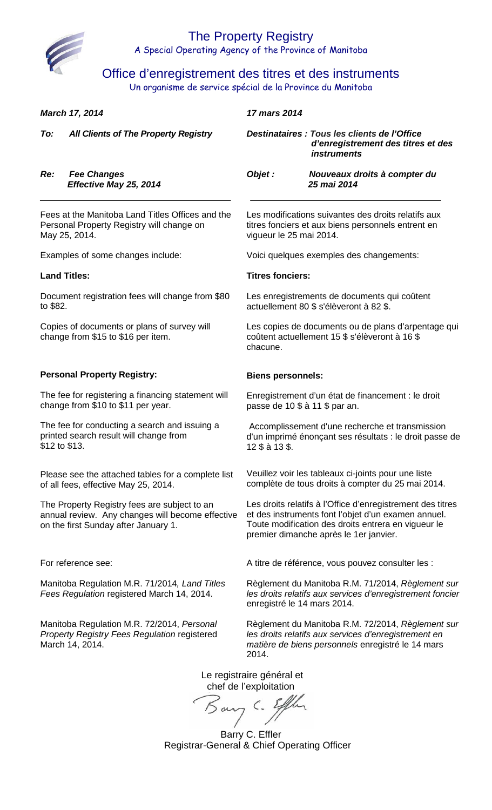

Office d'enregistrement des titres et des instruments

Un organisme de service spécial de la Province du Manitoba

| March 17, 2014                                                                    |                                                                                                                                          | 17 mars 2014                                                                                                      |                                                                                                                                                                                                                    |  |
|-----------------------------------------------------------------------------------|------------------------------------------------------------------------------------------------------------------------------------------|-------------------------------------------------------------------------------------------------------------------|--------------------------------------------------------------------------------------------------------------------------------------------------------------------------------------------------------------------|--|
| To:                                                                               | <b>All Clients of The Property Registry</b>                                                                                              |                                                                                                                   | Destinataires : Tous les clients de l'Office<br>d'enregistrement des titres et des<br><i>instruments</i>                                                                                                           |  |
| Re:                                                                               | <b>Fee Changes</b><br>Effective May 25, 2014                                                                                             | Objet :                                                                                                           | Nouveaux droits à compter du<br>25 mai 2014                                                                                                                                                                        |  |
|                                                                                   | Fees at the Manitoba Land Titles Offices and the<br>Personal Property Registry will change on<br>May 25, 2014.                           | vigueur le 25 mai 2014.                                                                                           | Les modifications suivantes des droits relatifs aux<br>titres fonciers et aux biens personnels entrent en                                                                                                          |  |
|                                                                                   | Examples of some changes include:                                                                                                        |                                                                                                                   | Voici quelques exemples des changements:                                                                                                                                                                           |  |
|                                                                                   | <b>Land Titles:</b>                                                                                                                      | <b>Titres fonciers:</b>                                                                                           |                                                                                                                                                                                                                    |  |
| Document registration fees will change from \$80<br>to \$82.                      |                                                                                                                                          | Les enregistrements de documents qui coûtent<br>actuellement 80 \$ s'élèveront à 82 \$.                           |                                                                                                                                                                                                                    |  |
| Copies of documents or plans of survey will<br>change from \$15 to \$16 per item. |                                                                                                                                          | Les copies de documents ou de plans d'arpentage qui<br>coûtent actuellement 15 \$ s'élèveront à 16 \$<br>chacune. |                                                                                                                                                                                                                    |  |
|                                                                                   | <b>Personal Property Registry:</b>                                                                                                       | <b>Biens personnels:</b>                                                                                          |                                                                                                                                                                                                                    |  |
|                                                                                   | The fee for registering a financing statement will<br>change from \$10 to \$11 per year.                                                 | passe de 10 \$ à 11 \$ par an.                                                                                    | Enregistrement d'un état de financement : le droit                                                                                                                                                                 |  |
|                                                                                   | The fee for conducting a search and issuing a<br>printed search result will change from<br>\$12 to \$13.                                 | 12 \$ à 13 \$.                                                                                                    | Accomplissement d'une recherche et transmission<br>d'un imprimé énonçant ses résultats : le droit passe de                                                                                                         |  |
|                                                                                   | Please see the attached tables for a complete list<br>of all fees, effective May 25, 2014.                                               |                                                                                                                   | Veuillez voir les tableaux ci-joints pour une liste<br>complète de tous droits à compter du 25 mai 2014.                                                                                                           |  |
|                                                                                   | The Property Registry fees are subject to an<br>annual review. Any changes will become effective<br>on the first Sunday after January 1. |                                                                                                                   | Les droits relatifs à l'Office d'enregistrement des titres<br>et des instruments font l'objet d'un examen annuel.<br>Toute modification des droits entrera en vigueur le<br>premier dimanche après le 1er janvier. |  |
|                                                                                   | For reference see:                                                                                                                       |                                                                                                                   | A titre de référence, vous pouvez consulter les :                                                                                                                                                                  |  |
|                                                                                   | Manitoba Regulation M.R. 71/2014, Land Titles<br>Fees Regulation registered March 14, 2014.                                              | enregistré le 14 mars 2014.                                                                                       | Règlement du Manitoba R.M. 71/2014, Règlement sur<br>les droits relatifs aux services d'enregistrement foncier                                                                                                     |  |
|                                                                                   | Manitoba Regulation M.R. 72/2014, Personal<br><b>Property Registry Fees Regulation registered</b><br>March 14, 2014.                     | 2014.                                                                                                             | Règlement du Manitoba R.M. 72/2014, Règlement sur<br>les droits relatifs aux services d'enregistrement en<br>matière de biens personnels enregistré le 14 mars                                                     |  |
|                                                                                   |                                                                                                                                          | Le registraire général et<br>chef de l'exploitation<br>Ruc Ellen                                                  |                                                                                                                                                                                                                    |  |

Barry C. Effler Registrar-General & Chief Operating Officer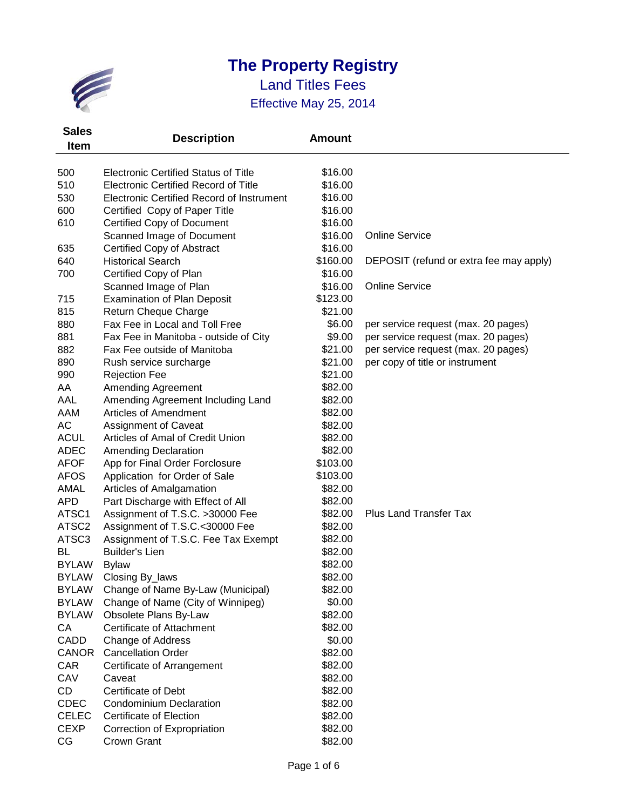

| <b>Sales</b>      | <b>Description</b>                          | <b>Amount</b> |                                         |
|-------------------|---------------------------------------------|---------------|-----------------------------------------|
| <b>Item</b>       |                                             |               |                                         |
|                   |                                             |               |                                         |
| 500               | <b>Electronic Certified Status of Title</b> | \$16.00       |                                         |
| 510               | <b>Electronic Certified Record of Title</b> | \$16.00       |                                         |
| 530               | Electronic Certified Record of Instrument   | \$16.00       |                                         |
| 600               | Certified Copy of Paper Title               | \$16.00       |                                         |
| 610               | <b>Certified Copy of Document</b>           | \$16.00       |                                         |
|                   | Scanned Image of Document                   | \$16.00       | <b>Online Service</b>                   |
| 635               | Certified Copy of Abstract                  | \$16.00       |                                         |
| 640               | <b>Historical Search</b>                    | \$160.00      | DEPOSIT (refund or extra fee may apply) |
| 700               | Certified Copy of Plan                      | \$16.00       |                                         |
|                   | Scanned Image of Plan                       | \$16.00       | <b>Online Service</b>                   |
| 715               | <b>Examination of Plan Deposit</b>          | \$123.00      |                                         |
| 815               | Return Cheque Charge                        | \$21.00       |                                         |
| 880               | Fax Fee in Local and Toll Free              | \$6.00        | per service request (max. 20 pages)     |
| 881               | Fax Fee in Manitoba - outside of City       | \$9.00        | per service request (max. 20 pages)     |
| 882               | Fax Fee outside of Manitoba                 | \$21.00       | per service request (max. 20 pages)     |
| 890               | Rush service surcharge                      | \$21.00       | per copy of title or instrument         |
| 990               | <b>Rejection Fee</b>                        | \$21.00       |                                         |
| AA                | <b>Amending Agreement</b>                   | \$82.00       |                                         |
| AAL               | Amending Agreement Including Land           | \$82.00       |                                         |
| AAM               | Articles of Amendment                       | \$82.00       |                                         |
| AC                | <b>Assignment of Caveat</b>                 | \$82.00       |                                         |
| <b>ACUL</b>       | Articles of Amal of Credit Union            | \$82.00       |                                         |
| <b>ADEC</b>       | <b>Amending Declaration</b>                 | \$82.00       |                                         |
| <b>AFOF</b>       | App for Final Order Forclosure              | \$103.00      |                                         |
| <b>AFOS</b>       | Application for Order of Sale               | \$103.00      |                                         |
| AMAL              | Articles of Amalgamation                    | \$82.00       |                                         |
| <b>APD</b>        | Part Discharge with Effect of All           | \$82.00       |                                         |
| ATSC1             | Assignment of T.S.C. >30000 Fee             | \$82.00       | <b>Plus Land Transfer Tax</b>           |
| ATSC <sub>2</sub> | Assignment of T.S.C.<30000 Fee              | \$82.00       |                                         |
| ATSC3             | Assignment of T.S.C. Fee Tax Exempt         | \$82.00       |                                         |
| BL                | <b>Builder's Lien</b>                       | \$82.00       |                                         |
| <b>BYLAW</b>      | <b>Bylaw</b>                                | \$82.00       |                                         |
| <b>BYLAW</b>      | Closing By_laws                             | \$82.00       |                                         |
| <b>BYLAW</b>      | Change of Name By-Law (Municipal)           | \$82.00       |                                         |
| <b>BYLAW</b>      | Change of Name (City of Winnipeg)           | \$0.00        |                                         |
| <b>BYLAW</b>      | Obsolete Plans By-Law                       | \$82.00       |                                         |
| CA                | Certificate of Attachment                   | \$82.00       |                                         |
| CADD              | Change of Address                           | \$0.00        |                                         |
| <b>CANOR</b>      | <b>Cancellation Order</b>                   | \$82.00       |                                         |
| CAR               | Certificate of Arrangement                  | \$82.00       |                                         |
| CAV               | Caveat                                      | \$82.00       |                                         |
| <b>CD</b>         | <b>Certificate of Debt</b>                  | \$82.00       |                                         |
| <b>CDEC</b>       | <b>Condominium Declaration</b>              | \$82.00       |                                         |
| <b>CELEC</b>      | <b>Certificate of Election</b>              | \$82.00       |                                         |
| <b>CEXP</b>       | Correction of Expropriation                 | \$82.00       |                                         |
| CG                | Crown Grant                                 | \$82.00       |                                         |
|                   |                                             |               |                                         |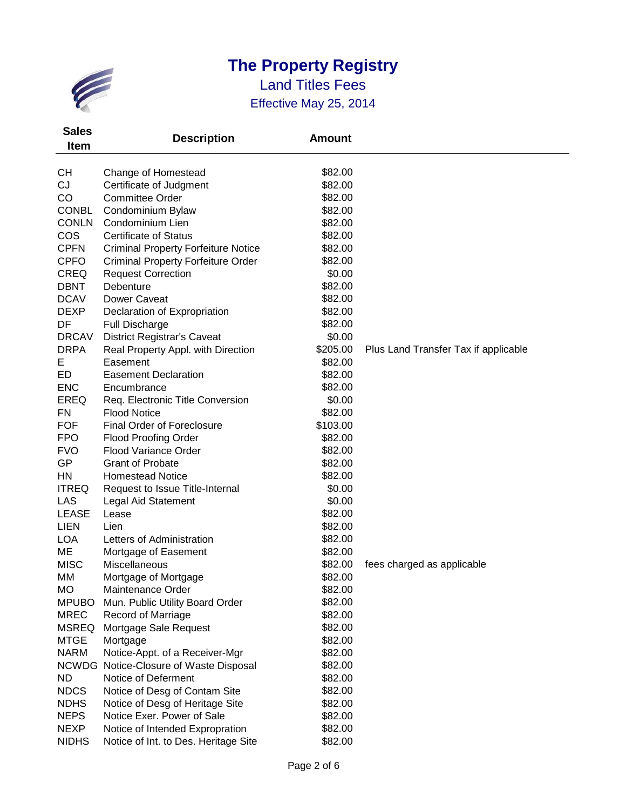

| <b>Sales</b> | <b>Description</b>                         | <b>Amount</b> |                                      |
|--------------|--------------------------------------------|---------------|--------------------------------------|
| <b>Item</b>  |                                            |               |                                      |
|              |                                            |               |                                      |
| СH           | Change of Homestead                        | \$82.00       |                                      |
| CJ           | Certificate of Judgment                    | \$82.00       |                                      |
| CO           | <b>Committee Order</b>                     | \$82.00       |                                      |
| <b>CONBL</b> | Condominium Bylaw                          | \$82.00       |                                      |
| <b>CONLN</b> | Condominium Lien                           | \$82.00       |                                      |
| <b>COS</b>   | <b>Certificate of Status</b>               | \$82.00       |                                      |
| <b>CPFN</b>  | <b>Criminal Property Forfeiture Notice</b> | \$82.00       |                                      |
| <b>CPFO</b>  | <b>Criminal Property Forfeiture Order</b>  | \$82.00       |                                      |
| <b>CREQ</b>  | <b>Request Correction</b>                  | \$0.00        |                                      |
| <b>DBNT</b>  | Debenture                                  | \$82.00       |                                      |
| <b>DCAV</b>  | Dower Caveat                               | \$82.00       |                                      |
| <b>DEXP</b>  | Declaration of Expropriation               | \$82.00       |                                      |
| DF           | <b>Full Discharge</b>                      | \$82.00       |                                      |
| <b>DRCAV</b> | <b>District Registrar's Caveat</b>         | \$0.00        |                                      |
| <b>DRPA</b>  | Real Property Appl. with Direction         | \$205.00      | Plus Land Transfer Tax if applicable |
| Е            | Easement                                   | \$82.00       |                                      |
| ED           | <b>Easement Declaration</b>                | \$82.00       |                                      |
| <b>ENC</b>   | Encumbrance                                | \$82.00       |                                      |
| <b>EREQ</b>  | Req. Electronic Title Conversion           | \$0.00        |                                      |
| <b>FN</b>    | <b>Flood Notice</b>                        | \$82.00       |                                      |
| <b>FOF</b>   | <b>Final Order of Foreclosure</b>          | \$103.00      |                                      |
| <b>FPO</b>   | <b>Flood Proofing Order</b>                | \$82.00       |                                      |
| <b>FVO</b>   | <b>Flood Variance Order</b>                | \$82.00       |                                      |
| GP           | <b>Grant of Probate</b>                    | \$82.00       |                                      |
| HN           | <b>Homestead Notice</b>                    | \$82.00       |                                      |
| <b>ITREQ</b> | Request to Issue Title-Internal            | \$0.00        |                                      |
| LAS          | Legal Aid Statement                        | \$0.00        |                                      |
| <b>LEASE</b> | Lease                                      | \$82.00       |                                      |
| <b>LIEN</b>  | Lien                                       | \$82.00       |                                      |
| <b>LOA</b>   | Letters of Administration                  | \$82.00       |                                      |
| ME           | Mortgage of Easement                       | \$82.00       |                                      |
| <b>MISC</b>  | Miscellaneous                              | \$82.00       | fees charged as applicable           |
| ΜМ           | Mortgage of Mortgage                       | \$82.00       |                                      |
| MO           | Maintenance Order                          | \$82.00       |                                      |
| <b>MPUBO</b> | Mun. Public Utility Board Order            | \$82.00       |                                      |
| <b>MREC</b>  | <b>Record of Marriage</b>                  | \$82.00       |                                      |
| <b>MSREQ</b> | Mortgage Sale Request                      | \$82.00       |                                      |
| <b>MTGE</b>  | Mortgage                                   | \$82.00       |                                      |
| <b>NARM</b>  | Notice-Appt. of a Receiver-Mgr             | \$82.00       |                                      |
| <b>NCWDG</b> | Notice-Closure of Waste Disposal           | \$82.00       |                                      |
| <b>ND</b>    | Notice of Deferment                        | \$82.00       |                                      |
| <b>NDCS</b>  | Notice of Desg of Contam Site              | \$82.00       |                                      |
| <b>NDHS</b>  | Notice of Desg of Heritage Site            | \$82.00       |                                      |
| <b>NEPS</b>  | Notice Exer. Power of Sale                 | \$82.00       |                                      |
| <b>NEXP</b>  | Notice of Intended Expropration            | \$82.00       |                                      |
| <b>NIDHS</b> | Notice of Int. to Des. Heritage Site       | \$82.00       |                                      |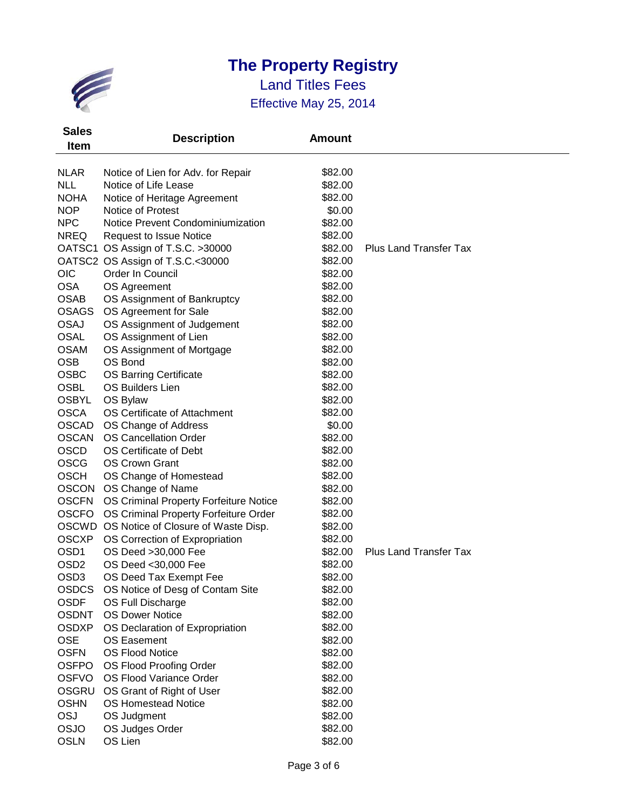

| <b>Sales</b>     | <b>Description</b>                        | <b>Amount</b> |                               |
|------------------|-------------------------------------------|---------------|-------------------------------|
| <b>Item</b>      |                                           |               |                               |
| <b>NLAR</b>      | Notice of Lien for Adv. for Repair        | \$82.00       |                               |
| <b>NLL</b>       | Notice of Life Lease                      | \$82.00       |                               |
| <b>NOHA</b>      | Notice of Heritage Agreement              | \$82.00       |                               |
| <b>NOP</b>       | Notice of Protest                         | \$0.00        |                               |
| <b>NPC</b>       | Notice Prevent Condominiumization         | \$82.00       |                               |
| <b>NREQ</b>      | <b>Request to Issue Notice</b>            | \$82.00       |                               |
|                  | OATSC1 OS Assign of T.S.C. >30000         | \$82.00       | <b>Plus Land Transfer Tax</b> |
|                  | OATSC2 OS Assign of T.S.C.<30000          | \$82.00       |                               |
| <b>OIC</b>       | Order In Council                          | \$82.00       |                               |
| <b>OSA</b>       | OS Agreement                              | \$82.00       |                               |
| <b>OSAB</b>      | OS Assignment of Bankruptcy               | \$82.00       |                               |
| <b>OSAGS</b>     | OS Agreement for Sale                     | \$82.00       |                               |
| <b>OSAJ</b>      | OS Assignment of Judgement                | \$82.00       |                               |
| <b>OSAL</b>      | OS Assignment of Lien                     | \$82.00       |                               |
| <b>OSAM</b>      | OS Assignment of Mortgage                 | \$82.00       |                               |
| <b>OSB</b>       | OS Bond                                   | \$82.00       |                               |
| <b>OSBC</b>      | <b>OS Barring Certificate</b>             | \$82.00       |                               |
| <b>OSBL</b>      | OS Builders Lien                          | \$82.00       |                               |
| <b>OSBYL</b>     | OS Bylaw                                  | \$82.00       |                               |
| <b>OSCA</b>      | OS Certificate of Attachment              | \$82.00       |                               |
| <b>OSCAD</b>     | OS Change of Address                      | \$0.00        |                               |
| <b>OSCAN</b>     | <b>OS Cancellation Order</b>              | \$82.00       |                               |
| <b>OSCD</b>      | OS Certificate of Debt                    | \$82.00       |                               |
| <b>OSCG</b>      | <b>OS Crown Grant</b>                     | \$82.00       |                               |
| <b>OSCH</b>      | OS Change of Homestead                    | \$82.00       |                               |
| <b>OSCON</b>     | OS Change of Name                         | \$82.00       |                               |
| <b>OSCFN</b>     | OS Criminal Property Forfeiture Notice    | \$82.00       |                               |
| <b>OSCFO</b>     | OS Criminal Property Forfeiture Order     | \$82.00       |                               |
|                  | OSCWD OS Notice of Closure of Waste Disp. | \$82.00       |                               |
| <b>OSCXP</b>     | OS Correction of Expropriation            | \$82.00       |                               |
| OSD <sub>1</sub> | OS Deed >30,000 Fee                       | \$82.00       | <b>Plus Land Transfer Tax</b> |
| OSD <sub>2</sub> | OS Deed <30,000 Fee                       | \$82.00       |                               |
| OSD <sub>3</sub> | OS Deed Tax Exempt Fee                    | \$82.00       |                               |
| OSDCS            | OS Notice of Desg of Contam Site          | \$82.00       |                               |
| <b>OSDF</b>      | OS Full Discharge                         | \$82.00       |                               |
| <b>OSDNT</b>     | <b>OS Dower Notice</b>                    | \$82.00       |                               |
| <b>OSDXP</b>     | OS Declaration of Expropriation           | \$82.00       |                               |
| <b>OSE</b>       | <b>OS Easement</b>                        | \$82.00       |                               |
| <b>OSFN</b>      | <b>OS Flood Notice</b>                    | \$82.00       |                               |
| <b>OSFPO</b>     | OS Flood Proofing Order                   | \$82.00       |                               |
| <b>OSFVO</b>     | OS Flood Variance Order                   | \$82.00       |                               |
| <b>OSGRU</b>     | OS Grant of Right of User                 | \$82.00       |                               |
| <b>OSHN</b>      | <b>OS Homestead Notice</b>                | \$82.00       |                               |
| OSJ              | OS Judgment                               | \$82.00       |                               |
| <b>OSJO</b>      | OS Judges Order                           | \$82.00       |                               |
| <b>OSLN</b>      | OS Lien                                   | \$82.00       |                               |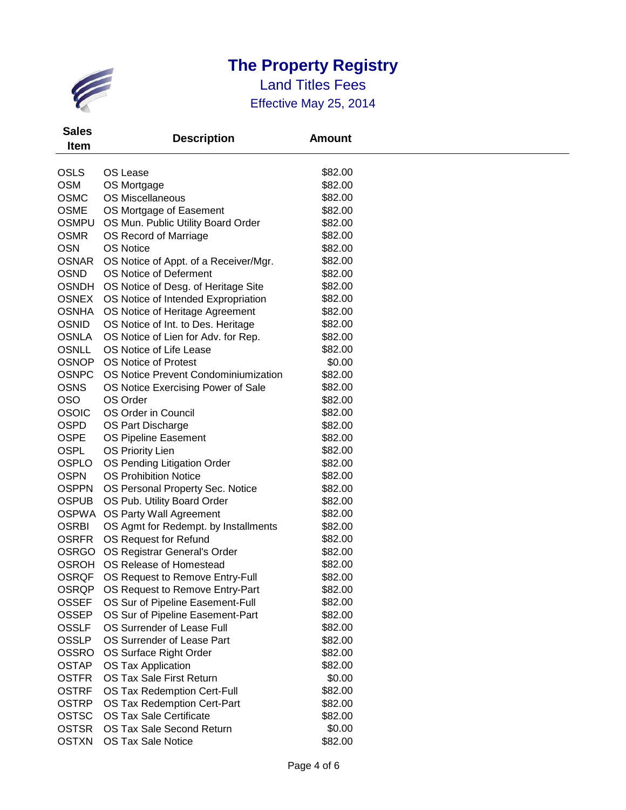

| <b>Sales</b><br><b>Item</b> | <b>Description</b>                    | <b>Amount</b> |  |
|-----------------------------|---------------------------------------|---------------|--|
| <b>OSLS</b>                 | OS Lease                              | \$82.00       |  |
| <b>OSM</b>                  | OS Mortgage                           | \$82.00       |  |
| <b>OSMC</b>                 | <b>OS Miscellaneous</b>               | \$82.00       |  |
| <b>OSME</b>                 | OS Mortgage of Easement               | \$82.00       |  |
| <b>OSMPU</b>                | OS Mun. Public Utility Board Order    | \$82.00       |  |
| <b>OSMR</b>                 | OS Record of Marriage                 | \$82.00       |  |
| <b>OSN</b>                  | <b>OS Notice</b>                      | \$82.00       |  |
| <b>OSNAR</b>                | OS Notice of Appt. of a Receiver/Mgr. | \$82.00       |  |
| <b>OSND</b>                 | OS Notice of Deferment                | \$82.00       |  |
| <b>OSNDH</b>                | OS Notice of Desg. of Heritage Site   | \$82.00       |  |
| <b>OSNEX</b>                | OS Notice of Intended Expropriation   | \$82.00       |  |
| <b>OSNHA</b>                | OS Notice of Heritage Agreement       | \$82.00       |  |
| <b>OSNID</b>                | OS Notice of Int. to Des. Heritage    | \$82.00       |  |
| <b>OSNLA</b>                | OS Notice of Lien for Adv. for Rep.   | \$82.00       |  |
| <b>OSNLL</b>                | OS Notice of Life Lease               | \$82.00       |  |
| <b>OSNOP</b>                | <b>OS Notice of Protest</b>           | \$0.00        |  |
| <b>OSNPC</b>                | OS Notice Prevent Condominiumization  | \$82.00       |  |
| <b>OSNS</b>                 | OS Notice Exercising Power of Sale    | \$82.00       |  |
| <b>OSO</b>                  | OS Order                              | \$82.00       |  |
| <b>OSOIC</b>                | OS Order in Council                   | \$82.00       |  |
| <b>OSPD</b>                 | OS Part Discharge                     | \$82.00       |  |
| <b>OSPE</b>                 | OS Pipeline Easement                  | \$82.00       |  |
| <b>OSPL</b>                 | <b>OS Priority Lien</b>               | \$82.00       |  |
| <b>OSPLO</b>                | OS Pending Litigation Order           | \$82.00       |  |
| <b>OSPN</b>                 | <b>OS Prohibition Notice</b>          | \$82.00       |  |
| <b>OSPPN</b>                | OS Personal Property Sec. Notice      | \$82.00       |  |
| <b>OSPUB</b>                | OS Pub. Utility Board Order           | \$82.00       |  |
| <b>OSPWA</b>                | OS Party Wall Agreement               | \$82.00       |  |
| <b>OSRBI</b>                | OS Agmt for Redempt. by Installments  | \$82.00       |  |
| <b>OSRFR</b>                | OS Request for Refund                 | \$82.00       |  |
| <b>OSRGO</b>                | OS Registrar General's Order          | \$82.00       |  |
| <b>OSROH</b>                | OS Release of Homestead               | \$82.00       |  |
| <b>OSRQF</b>                | OS Request to Remove Entry-Full       | \$82.00       |  |
| <b>OSRQP</b>                | OS Request to Remove Entry-Part       | \$82.00       |  |
| <b>OSSEF</b>                | OS Sur of Pipeline Easement-Full      | \$82.00       |  |
| <b>OSSEP</b>                | OS Sur of Pipeline Easement-Part      | \$82.00       |  |
| <b>OSSLF</b>                | OS Surrender of Lease Full            | \$82.00       |  |
| <b>OSSLP</b>                | OS Surrender of Lease Part            | \$82.00       |  |
| <b>OSSRO</b>                | OS Surface Right Order                | \$82.00       |  |
| <b>OSTAP</b>                | OS Tax Application                    | \$82.00       |  |
| <b>OSTFR</b>                | OS Tax Sale First Return              | \$0.00        |  |
| <b>OSTRF</b>                | OS Tax Redemption Cert-Full           | \$82.00       |  |
| <b>OSTRP</b>                | OS Tax Redemption Cert-Part           | \$82.00       |  |
| <b>OSTSC</b>                | <b>OS Tax Sale Certificate</b>        | \$82.00       |  |
| <b>OSTSR</b>                | OS Tax Sale Second Return             | \$0.00        |  |
| <b>OSTXN</b>                | OS Tax Sale Notice                    | \$82.00       |  |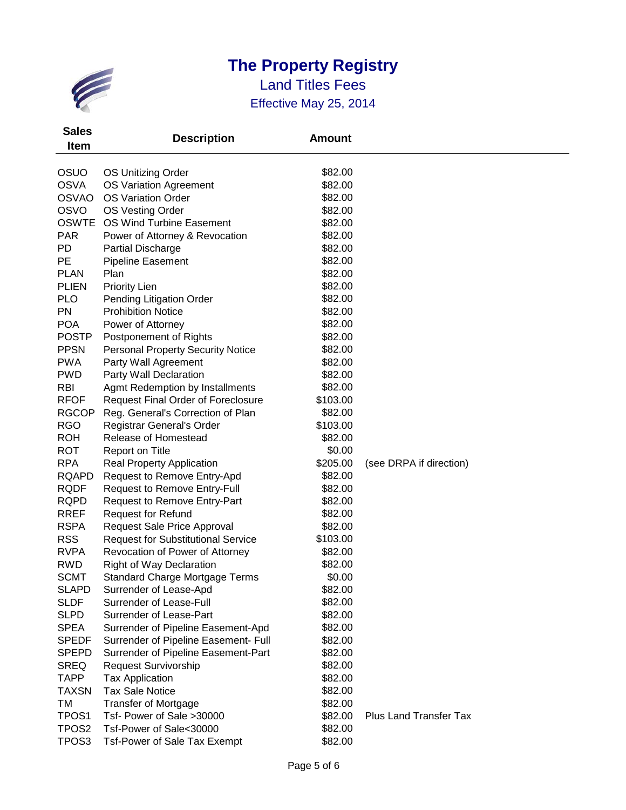

| <b>Sales</b><br><b>Item</b> | <b>Description</b>                        | <b>Amount</b> |                               |
|-----------------------------|-------------------------------------------|---------------|-------------------------------|
|                             |                                           |               |                               |
| OSUO                        | OS Unitizing Order                        | \$82.00       |                               |
| <b>OSVA</b>                 | OS Variation Agreement                    | \$82.00       |                               |
| <b>OSVAO</b>                | <b>OS Variation Order</b>                 | \$82.00       |                               |
| <b>OSVO</b>                 | OS Vesting Order                          | \$82.00       |                               |
| <b>OSWTE</b>                | <b>OS Wind Turbine Easement</b>           | \$82.00       |                               |
| <b>PAR</b>                  | Power of Attorney & Revocation            | \$82.00       |                               |
| PD                          | <b>Partial Discharge</b>                  | \$82.00       |                               |
| PE                          | Pipeline Easement                         | \$82.00       |                               |
| <b>PLAN</b>                 | Plan                                      | \$82.00       |                               |
| <b>PLIEN</b>                | <b>Priority Lien</b>                      | \$82.00       |                               |
| <b>PLO</b>                  | Pending Litigation Order                  | \$82.00       |                               |
| <b>PN</b>                   | <b>Prohibition Notice</b>                 | \$82.00       |                               |
| <b>POA</b>                  | Power of Attorney                         | \$82.00       |                               |
| <b>POSTP</b>                | Postponement of Rights                    | \$82.00       |                               |
| <b>PPSN</b>                 | <b>Personal Property Security Notice</b>  | \$82.00       |                               |
| <b>PWA</b>                  | Party Wall Agreement                      | \$82.00       |                               |
| <b>PWD</b>                  | Party Wall Declaration                    | \$82.00       |                               |
| <b>RBI</b>                  | Agmt Redemption by Installments           | \$82.00       |                               |
| <b>RFOF</b>                 | <b>Request Final Order of Foreclosure</b> | \$103.00      |                               |
| <b>RGCOP</b>                | Reg. General's Correction of Plan         | \$82.00       |                               |
| <b>RGO</b>                  | Registrar General's Order                 | \$103.00      |                               |
| <b>ROH</b>                  | Release of Homestead                      | \$82.00       |                               |
| <b>ROT</b>                  | Report on Title                           | \$0.00        |                               |
| <b>RPA</b>                  | <b>Real Property Application</b>          | \$205.00      | (see DRPA if direction)       |
| <b>RQAPD</b>                | Request to Remove Entry-Apd               | \$82.00       |                               |
| <b>RQDF</b>                 | Request to Remove Entry-Full              | \$82.00       |                               |
| <b>RQPD</b>                 | <b>Request to Remove Entry-Part</b>       | \$82.00       |                               |
| <b>RREF</b>                 | <b>Request for Refund</b>                 | \$82.00       |                               |
| <b>RSPA</b>                 | Request Sale Price Approval               | \$82.00       |                               |
| <b>RSS</b>                  | <b>Request for Substitutional Service</b> | \$103.00      |                               |
| <b>RVPA</b>                 | Revocation of Power of Attorney           | \$82.00       |                               |
| <b>RWD</b>                  | <b>Right of Way Declaration</b>           | \$82.00       |                               |
| <b>SCMT</b>                 | <b>Standard Charge Mortgage Terms</b>     | \$0.00        |                               |
| <b>SLAPD</b>                | Surrender of Lease-Apd                    | \$82.00       |                               |
| <b>SLDF</b>                 | Surrender of Lease-Full                   | \$82.00       |                               |
| <b>SLPD</b>                 | Surrender of Lease-Part                   | \$82.00       |                               |
| <b>SPEA</b>                 | Surrender of Pipeline Easement-Apd        | \$82.00       |                               |
| <b>SPEDF</b>                | Surrender of Pipeline Easement- Full      | \$82.00       |                               |
| <b>SPEPD</b>                | Surrender of Pipeline Easement-Part       | \$82.00       |                               |
| <b>SREQ</b>                 | Request Survivorship                      | \$82.00       |                               |
| <b>TAPP</b>                 | <b>Tax Application</b>                    | \$82.00       |                               |
| <b>TAXSN</b>                | <b>Tax Sale Notice</b>                    | \$82.00       |                               |
| TM                          | <b>Transfer of Mortgage</b>               | \$82.00       |                               |
| TPOS <sub>1</sub>           | Tsf- Power of Sale >30000                 | \$82.00       | <b>Plus Land Transfer Tax</b> |
| TPOS <sub>2</sub>           | Tsf-Power of Sale<30000                   | \$82.00       |                               |
| TPOS <sub>3</sub>           | <b>Tsf-Power of Sale Tax Exempt</b>       | \$82.00       |                               |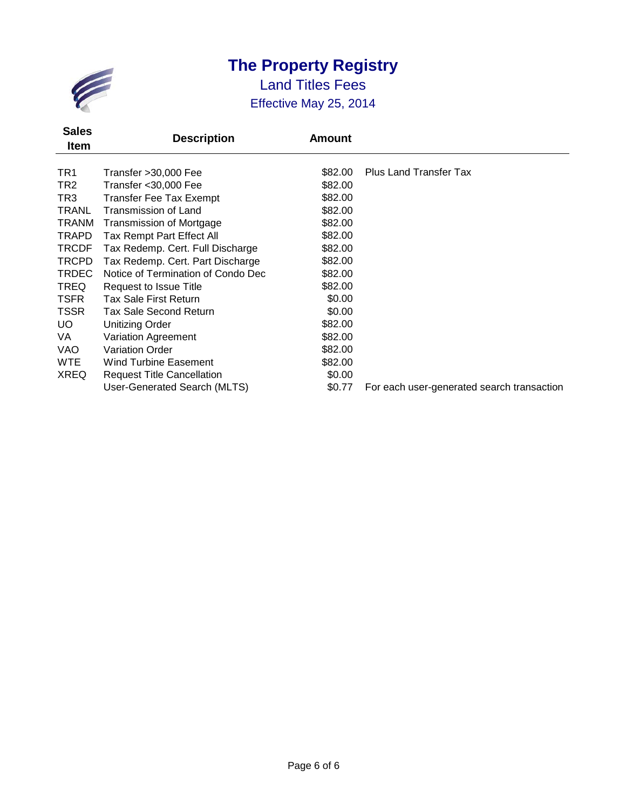

| <b>Sales</b><br>Item | <b>Description</b>                 | <b>Amount</b> |                                            |
|----------------------|------------------------------------|---------------|--------------------------------------------|
| TR <sub>1</sub>      | Transfer > 30,000 Fee              | \$82.00       | <b>Plus Land Transfer Tax</b>              |
| TR <sub>2</sub>      | Transfer < 30,000 Fee              | \$82.00       |                                            |
| TR3                  | <b>Transfer Fee Tax Exempt</b>     | \$82.00       |                                            |
| TRANL                | Transmission of Land               | \$82.00       |                                            |
| <b>TRANM</b>         | <b>Transmission of Mortgage</b>    | \$82.00       |                                            |
| <b>TRAPD</b>         | Tax Rempt Part Effect All          | \$82.00       |                                            |
| <b>TRCDF</b>         | Tax Redemp. Cert. Full Discharge   | \$82.00       |                                            |
| <b>TRCPD</b>         | Tax Redemp. Cert. Part Discharge   | \$82.00       |                                            |
| <b>TRDEC</b>         | Notice of Termination of Condo Dec | \$82.00       |                                            |
| <b>TREQ</b>          | Request to Issue Title             | \$82.00       |                                            |
| <b>TSFR</b>          | <b>Tax Sale First Return</b>       | \$0.00        |                                            |
| <b>TSSR</b>          | Tax Sale Second Return             | \$0.00        |                                            |
| UO.                  | <b>Unitizing Order</b>             | \$82.00       |                                            |
| VA                   | Variation Agreement                | \$82.00       |                                            |
| VAO                  | <b>Variation Order</b>             | \$82.00       |                                            |
| <b>WTE</b>           | <b>Wind Turbine Easement</b>       | \$82.00       |                                            |
| <b>XREQ</b>          | <b>Request Title Cancellation</b>  | \$0.00        |                                            |
|                      | User-Generated Search (MLTS)       | \$0.77        | For each user-generated search transaction |